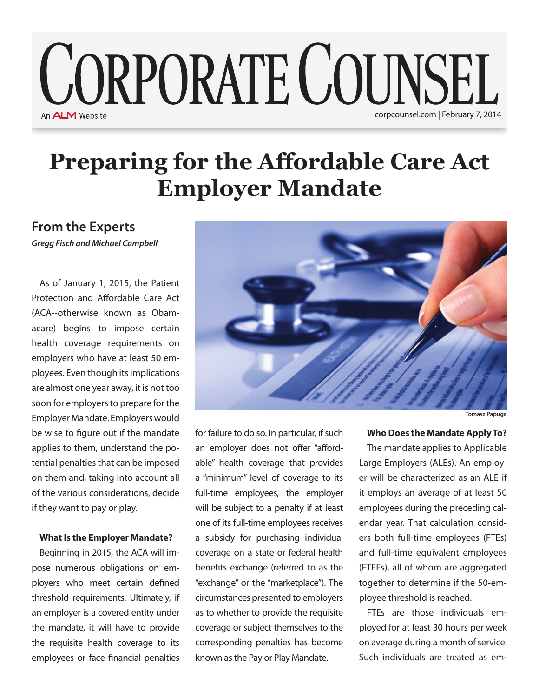# **CORPORATE COUNSEL** An **ALM** Website corpcounsel.com | February 7, 2014

## **Preparing for the Affordable Care Act Employer Mandate**

### **From the Experts**

*Gregg Fisch and Michael Campbell*

As of January 1, 2015, the Patient Protection and Affordable Care Act (ACA--otherwise known as Obamacare) begins to impose certain health coverage requirements on employers who have at least 50 employees. Even though its implications are almost one year away, it is not too soon for employers to prepare for the Employer Mandate. Employers would be wise to figure out if the mandate applies to them, understand the potential penalties that can be imposed on them and, taking into account all of the various considerations, decide if they want to pay or play.

#### **What Is the Employer Mandate?**

Beginning in 2015, the ACA will impose numerous obligations on employers who meet certain defined threshold requirements. Ultimately, if an employer is a covered entity under the mandate, it will have to provide the requisite health coverage to its employees or face financial penalties



for failure to do so. In particular, if such an employer does not offer "affordable" health coverage that provides a "minimum" level of coverage to its full-time employees, the employer will be subject to a penalty if at least one of its full-time employees receives a subsidy for purchasing individual coverage on a state or federal health benefits exchange (referred to as the "exchange" or the "marketplace"). The circumstances presented to employers as to whether to provide the requisite coverage or subject themselves to the corresponding penalties has become known as the Pay or Play Mandate.

**Who Does the Mandate Apply To?**

The mandate applies to Applicable Large Employers (ALEs). An employer will be characterized as an ALE if it employs an average of at least 50 employees during the preceding calendar year. That calculation considers both full-time employees (FTEs) and full-time equivalent employees (FTEEs), all of whom are aggregated together to determine if the 50-employee threshold is reached.

FTEs are those individuals employed for at least 30 hours per week on average during a month of service. Such individuals are treated as em-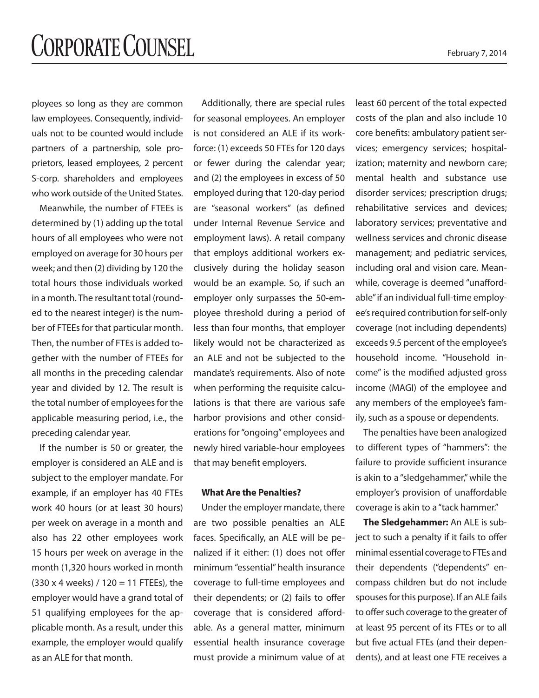ployees so long as they are common law employees. Consequently, individuals not to be counted would include partners of a partnership, sole proprietors, leased employees, 2 percent S-corp. shareholders and employees who work outside of the United States.

Meanwhile, the number of FTEEs is determined by (1) adding up the total hours of all employees who were not employed on average for 30 hours per week; and then (2) dividing by 120 the total hours those individuals worked in a month. The resultant total (rounded to the nearest integer) is the number of FTEEs for that particular month. Then, the number of FTEs is added together with the number of FTEEs for all months in the preceding calendar year and divided by 12. The result is the total number of employees for the applicable measuring period, i.e., the preceding calendar year.

If the number is 50 or greater, the employer is considered an ALE and is subject to the employer mandate. For example, if an employer has 40 FTEs work 40 hours (or at least 30 hours) per week on average in a month and also has 22 other employees work 15 hours per week on average in the month (1,320 hours worked in month  $(330 \times 4 \text{ weeks}) / 120 = 11$  FTEEs), the employer would have a grand total of 51 qualifying employees for the applicable month. As a result, under this example, the employer would qualify as an ALE for that month.

Additionally, there are special rules for seasonal employees. An employer is not considered an ALE if its workforce: (1) exceeds 50 FTEs for 120 days or fewer during the calendar year; and (2) the employees in excess of 50 employed during that 120-day period are "seasonal workers" (as defined under Internal Revenue Service and employment laws). A retail company that employs additional workers exclusively during the holiday season would be an example. So, if such an employer only surpasses the 50-employee threshold during a period of less than four months, that employer likely would not be characterized as an ALE and not be subjected to the mandate's requirements. Also of note when performing the requisite calculations is that there are various safe harbor provisions and other considerations for "ongoing" employees and newly hired variable-hour employees that may benefit employers.

#### **What Are the Penalties?**

Under the employer mandate, there are two possible penalties an ALE faces. Specifically, an ALE will be penalized if it either: (1) does not offer minimum "essential" health insurance coverage to full-time employees and their dependents; or (2) fails to offer coverage that is considered affordable. As a general matter, minimum essential health insurance coverage must provide a minimum value of at

least 60 percent of the total expected costs of the plan and also include 10 core benefits: ambulatory patient services; emergency services; hospitalization; maternity and newborn care; mental health and substance use disorder services; prescription drugs; rehabilitative services and devices; laboratory services; preventative and wellness services and chronic disease management; and pediatric services, including oral and vision care. Meanwhile, coverage is deemed "unaffordable" if an individual full-time employee's required contribution for self-only coverage (not including dependents) exceeds 9.5 percent of the employee's household income. "Household income" is the modified adjusted gross income (MAGI) of the employee and any members of the employee's family, such as a spouse or dependents.

The penalties have been analogized to different types of "hammers": the failure to provide sufficient insurance is akin to a "sledgehammer," while the employer's provision of unaffordable coverage is akin to a "tack hammer."

**The Sledgehammer:** An ALE is subject to such a penalty if it fails to offer minimal essential coverage to FTEs and their dependents ("dependents" encompass children but do not include spouses for this purpose). If an ALE fails to offer such coverage to the greater of at least 95 percent of its FTEs or to all but five actual FTEs (and their dependents), and at least one FTE receives a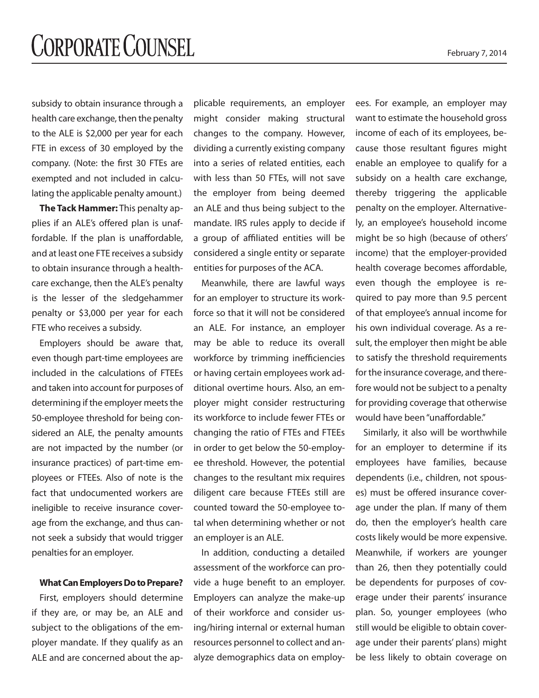subsidy to obtain insurance through a health care exchange, then the penalty to the ALE is \$2,000 per year for each FTE in excess of 30 employed by the company. (Note: the first 30 FTEs are exempted and not included in calculating the applicable penalty amount.)

**The Tack Hammer:** This penalty applies if an ALE's offered plan is unaffordable. If the plan is unaffordable, and at least one FTE receives a subsidy to obtain insurance through a healthcare exchange, then the ALE's penalty is the lesser of the sledgehammer penalty or \$3,000 per year for each FTE who receives a subsidy.

Employers should be aware that, even though part-time employees are included in the calculations of FTEEs and taken into account for purposes of determining if the employer meets the 50-employee threshold for being considered an ALE, the penalty amounts are not impacted by the number (or insurance practices) of part-time employees or FTEEs. Also of note is the fact that undocumented workers are ineligible to receive insurance coverage from the exchange, and thus cannot seek a subsidy that would trigger penalties for an employer.

#### **What Can Employers Do to Prepare?**

First, employers should determine if they are, or may be, an ALE and subject to the obligations of the employer mandate. If they qualify as an ALE and are concerned about the applicable requirements, an employer might consider making structural changes to the company. However, dividing a currently existing company into a series of related entities, each with less than 50 FTEs, will not save the employer from being deemed an ALE and thus being subject to the mandate. IRS rules apply to decide if a group of affiliated entities will be considered a single entity or separate entities for purposes of the ACA.

Meanwhile, there are lawful ways for an employer to structure its workforce so that it will not be considered an ALE. For instance, an employer may be able to reduce its overall workforce by trimming inefficiencies or having certain employees work additional overtime hours. Also, an employer might consider restructuring its workforce to include fewer FTEs or changing the ratio of FTEs and FTEEs in order to get below the 50-employee threshold. However, the potential changes to the resultant mix requires diligent care because FTEEs still are counted toward the 50-employee total when determining whether or not an employer is an ALE.

In addition, conducting a detailed assessment of the workforce can provide a huge benefit to an employer. Employers can analyze the make-up of their workforce and consider using/hiring internal or external human resources personnel to collect and analyze demographics data on employ-

ees. For example, an employer may want to estimate the household gross income of each of its employees, because those resultant figures might enable an employee to qualify for a subsidy on a health care exchange, thereby triggering the applicable penalty on the employer. Alternatively, an employee's household income might be so high (because of others' income) that the employer-provided health coverage becomes affordable, even though the employee is required to pay more than 9.5 percent of that employee's annual income for his own individual coverage. As a result, the employer then might be able to satisfy the threshold requirements for the insurance coverage, and therefore would not be subject to a penalty for providing coverage that otherwise would have been "unaffordable."

Similarly, it also will be worthwhile for an employer to determine if its employees have families, because dependents (i.e., children, not spouses) must be offered insurance coverage under the plan. If many of them do, then the employer's health care costs likely would be more expensive. Meanwhile, if workers are younger than 26, then they potentially could be dependents for purposes of coverage under their parents' insurance plan. So, younger employees (who still would be eligible to obtain coverage under their parents' plans) might be less likely to obtain coverage on